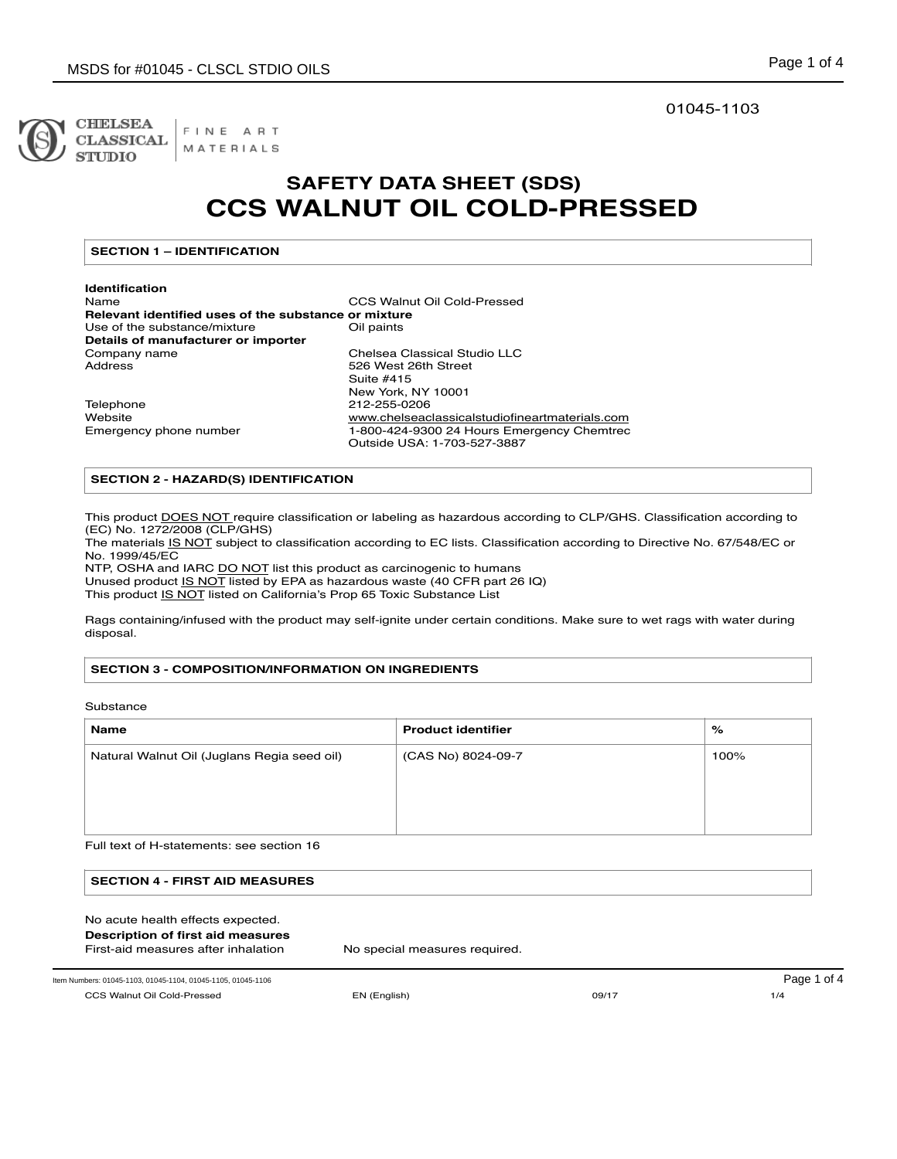

FINE ART **CLASSICAL** MATERIALS

## 01045-1103

## **SAFETY DATA SHEET (SDS) CCS WALNUT OIL COLD-PRESSED**

## **SECTION 1 – IDENTIFICATION**

**Identification**  CCS Walnut Oil Cold-Pressed **Relevant identified uses of the substance or mixture**<br>Use of the substance/mixture **Or COM** Use of the substance/mixture **Details of manufacturer or importer**  Company name Chelsea Classical Studio LLC<br>Address Classical S26 West 26th Street 526 West 26th Street Suite #415 New York, NY 10001 Telephone 212-255-0206<br>Website 2010 www.chelseac

www.chelseaclassicalstudiofineartmaterials.com Emergency phone number 1-800-424-9300 24 Hours Emergency Chemtrec Outside USA: 1-703-527-3887

### **SECTION 2 - HAZARD(S) IDENTIFICATION**

This product DOES NOT require classification or labeling as hazardous according to CLP/GHS. Classification according to (EC) No. 1272/2008 (CLP/GHS)

The materials IS NOT subject to classification according to EC lists. Classification according to Directive No. 67/548/EC or No. 1999/45/EC

NTP, OSHA and IARC DO NOT list this product as carcinogenic to humans Unused product IS NOT listed by EPA as hazardous waste (40 CFR part 26 IQ)

This product IS NOT listed on California's Prop 65 Toxic Substance List

Rags containing/infused with the product may self-ignite under certain conditions. Make sure to wet rags with water during disposal.

## **SECTION 3 - COMPOSITION/INFORMATION ON INGREDIENTS**

Substance

| Name                                        | <b>Product identifier</b> | %    |
|---------------------------------------------|---------------------------|------|
| Natural Walnut Oil (Juglans Regia seed oil) | (CAS No) 8024-09-7        | 100% |
|                                             |                           |      |
|                                             |                           |      |
|                                             |                           |      |

Full text of H-statements: see section 16

| <b>SECTION 4 - FIRST AID MEASURES</b> |  |
|---------------------------------------|--|
|                                       |  |
| No acute health effects expected.     |  |

| Description of first aid measures |  |
|-----------------------------------|--|
|-----------------------------------|--|

First-aid measures after inhalation No special measures required.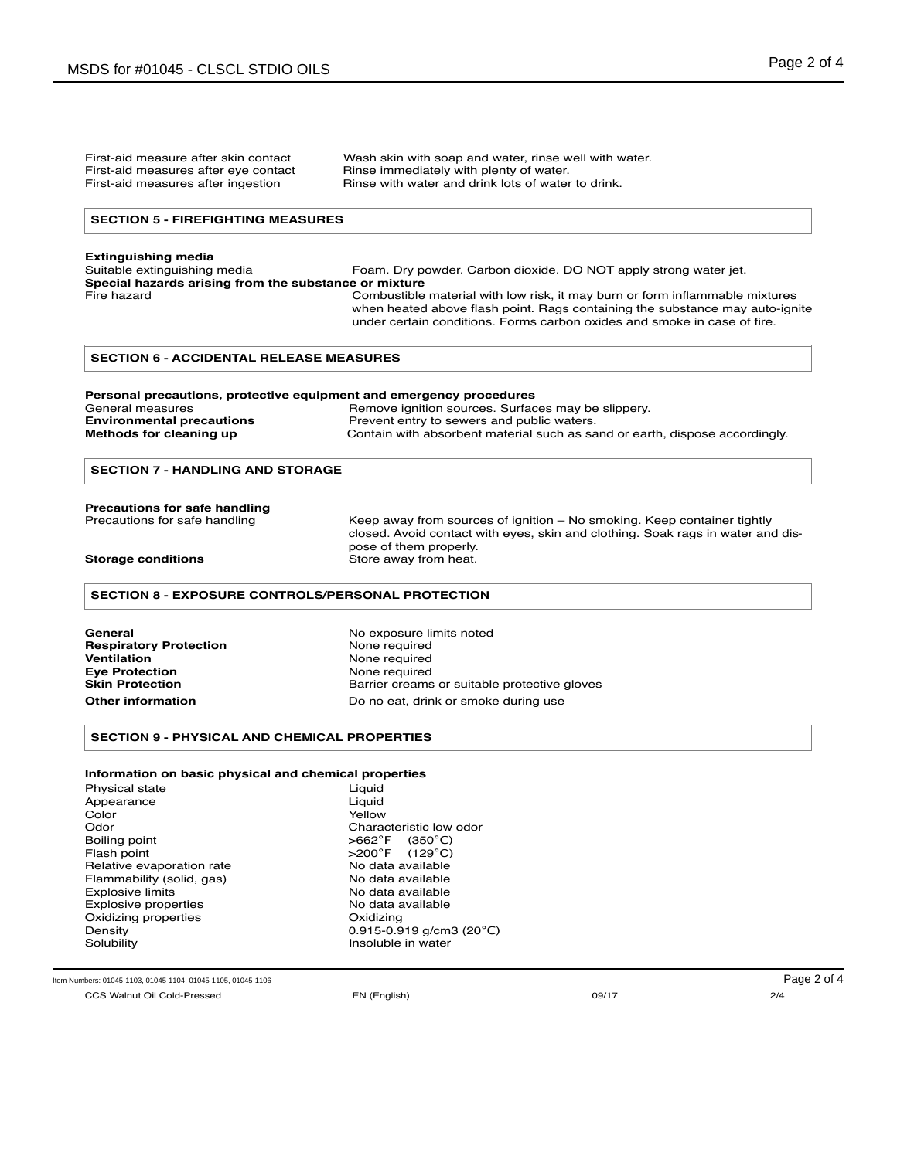First-aid measure after skin contact Wash skin with soap and water, rinse well with water.<br>First-aid measures after eye contact Rinse immediately with plenty of water. Rinse immediately with plenty of water. First-aid measures after ingestion **Rinse with water and drink lots of water to drink.** 

#### **SECTION 5 - FIREFIGHTING MEASURES**

## **Extinguishing media**

| Suitable extinguishing media                          | Foam. Dry powder. Carbon dioxide. DO NOT apply strong water jet.             |
|-------------------------------------------------------|------------------------------------------------------------------------------|
| Special hazards arising from the substance or mixture |                                                                              |
| Fire hazard                                           | Combustible material with low risk, it may burn or form inflammable mixtures |
|                                                       | when heated above flash point. Rags containing the substance may auto-ignite |
|                                                       | under certain conditions. Forms carbon oxides and smoke in case of fire.     |

#### **SECTION 6 - ACCIDENTAL RELEASE MEASURES**

| Personal precautions, protective equipment and emergency procedures |                                                                             |  |
|---------------------------------------------------------------------|-----------------------------------------------------------------------------|--|
| General measures                                                    | Remove ignition sources. Surfaces may be slippery.                          |  |
| <b>Environmental precautions</b>                                    | Prevent entry to sewers and public waters.                                  |  |
| Methods for cleaning up                                             | Contain with absorbent material such as sand or earth, dispose accordingly. |  |

#### **SECTION 7 - HANDLING AND STORAGE**

# **Precautions for safe handling**<br>Precautions for safe handling

Keep away from sources of ignition – No smoking. Keep container tightly closed. Avoid contact with eyes, skin and clothing. Soak rags in water and dispose of them properly. **Storage conditions Store away from heat.** 

#### **SECTION 8 - EXPOSURE CONTROLS/PERSONAL PROTECTION**

**General**  No exposure limits noted<br> **Respiratory Protection**<br> **None required Respiratory Protection Ventilation** None required **Eye Protection<br>Skin Protection** 

Barrier creams or suitable protective gloves **Other information Do no eat, drink or smoke during use** 

#### **SECTION 9 - PHYSICAL AND CHEMICAL PROPERTIES**

#### **Information on basic physical and chemical properties**

| Physical state            |
|---------------------------|
| Appearance                |
| Color                     |
| Odor                      |
| Boiling point             |
| Flash point               |
| Relative evaporation rate |
| Flammability (solid, gas) |
| Explosive limits          |
| Explosive properties      |
| Oxidizing properties      |
| Densitv                   |
| Solubility                |

Liquid Liquid Yellow Characteristic low odor<br> $>662^{\circ}F$  (350 $^{\circ}C$ ) >662°F (350°C)<br>>200°F (129°C)  $(129°C)$ No data available No data available No data available No data available Oxidizing  $0.915 - 0.919$  g/cm3 (20°C) Insoluble in water

Item Numbers: 01045-1103, 01045-1104, 01045-1105, 01045-1106 compared at the compared at the compared at the compared at the compared at the compared at the Page 2 of 4

CCS Walnut Oil Cold-Pressed EN (English) 09/17 2/4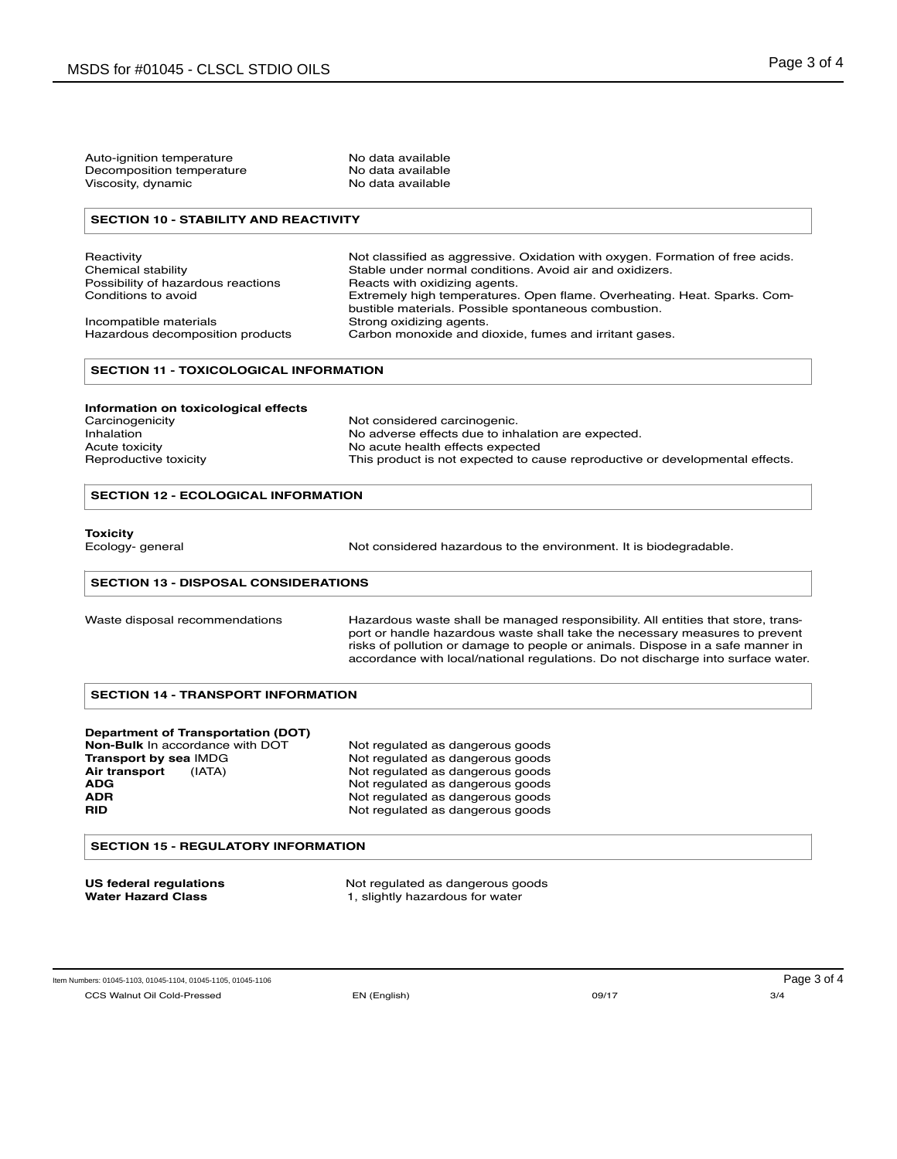| Decomposition temperature<br>Viscosity, dynamic            | No data available<br>No data available                                                                                                                                                                                                                                                                                                |  |
|------------------------------------------------------------|---------------------------------------------------------------------------------------------------------------------------------------------------------------------------------------------------------------------------------------------------------------------------------------------------------------------------------------|--|
| <b>SECTION 10 - STABILITY AND REACTIVITY</b>               |                                                                                                                                                                                                                                                                                                                                       |  |
| Reactivity                                                 | Not classified as aggressive. Oxidation with oxygen. Formation of free acids.                                                                                                                                                                                                                                                         |  |
| Chemical stability                                         | Stable under normal conditions. Avoid air and oxidizers.                                                                                                                                                                                                                                                                              |  |
| Possibility of hazardous reactions                         | Reacts with oxidizing agents.                                                                                                                                                                                                                                                                                                         |  |
| Conditions to avoid                                        | Extremely high temperatures. Open flame. Overheating. Heat. Sparks. Com-<br>bustible materials. Possible spontaneous combustion.                                                                                                                                                                                                      |  |
| Incompatible materials<br>Hazardous decomposition products | Strong oxidizing agents.<br>Carbon monoxide and dioxide, fumes and irritant gases.                                                                                                                                                                                                                                                    |  |
| <b>SECTION 11 - TOXICOLOGICAL INFORMATION</b>              |                                                                                                                                                                                                                                                                                                                                       |  |
| Information on toxicological effects                       |                                                                                                                                                                                                                                                                                                                                       |  |
| Carcinogenicity                                            | Not considered carcinogenic.                                                                                                                                                                                                                                                                                                          |  |
| Inhalation                                                 | No adverse effects due to inhalation are expected.                                                                                                                                                                                                                                                                                    |  |
| Acute toxicity                                             | No acute health effects expected                                                                                                                                                                                                                                                                                                      |  |
| Reproductive toxicity                                      | This product is not expected to cause reproductive or developmental effects.                                                                                                                                                                                                                                                          |  |
| <b>SECTION 12 - ECOLOGICAL INFORMATION</b>                 |                                                                                                                                                                                                                                                                                                                                       |  |
| <b>Toxicity</b><br>Ecology- general                        | Not considered hazardous to the environment. It is biodegradable.                                                                                                                                                                                                                                                                     |  |
|                                                            |                                                                                                                                                                                                                                                                                                                                       |  |
| <b>SECTION 13 - DISPOSAL CONSIDERATIONS</b>                |                                                                                                                                                                                                                                                                                                                                       |  |
| Waste disposal recommendations                             | Hazardous waste shall be managed responsibility. All entities that store, trans-<br>port or handle hazardous waste shall take the necessary measures to prevent<br>risks of pollution or damage to people or animals. Dispose in a safe manner in<br>accordance with local/national regulations. Do not discharge into surface water. |  |
| <b>SECTION 14 - TRANSPORT INFORMATION</b>                  |                                                                                                                                                                                                                                                                                                                                       |  |
| <b>Department of Transportation (DOT)</b>                  |                                                                                                                                                                                                                                                                                                                                       |  |
| Non-Bulk In accordance with DOT                            | Not regulated as dangerous goods                                                                                                                                                                                                                                                                                                      |  |
| Transport by sea IMDG                                      | Not regulated as dangerous goods                                                                                                                                                                                                                                                                                                      |  |
| Air transport<br>(IATA)                                    | Not regulated as dangerous goods                                                                                                                                                                                                                                                                                                      |  |
| <b>ADG</b>                                                 | Not regulated as dangerous goods                                                                                                                                                                                                                                                                                                      |  |
| ADR                                                        | Not regulated as dangerous goods                                                                                                                                                                                                                                                                                                      |  |
| <b>RID</b>                                                 | Not regulated as dangerous goods                                                                                                                                                                                                                                                                                                      |  |
| <b>SECTION 15 - REGULATORY INFORMATION</b>                 |                                                                                                                                                                                                                                                                                                                                       |  |

**US federal regulations Not regulated as dangerous goods** 

Water Hazard Class **1**, slightly hazardous for water

CCS Walnut Oil Cold-Pressed EN (English) 09/17 3/4 Item Numbers: 01045-1103, 01045-1104, 01045-1105, 01045-1106 Page 3 of 4

Auto-ignition temperature No data available<br>Decomposition temperature No data available